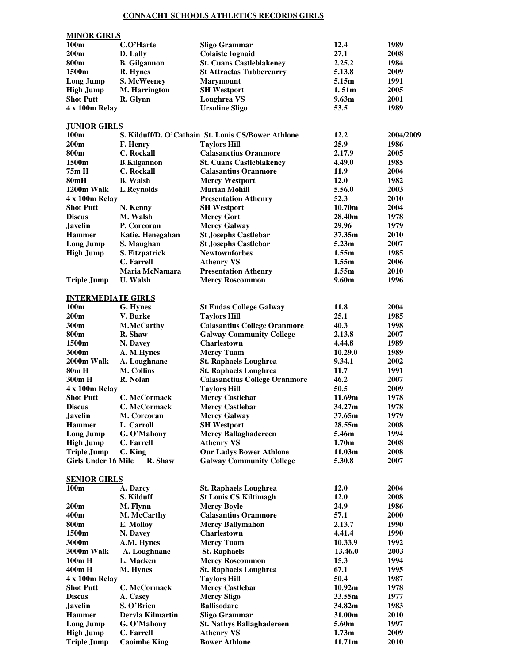## **CONNACHT SCHOOLS ATHLETICS RECORDS GIRLS**

| <b>MINOR GIRLS</b>                   |                               |                                                       |                   |              |  |  |  |  |
|--------------------------------------|-------------------------------|-------------------------------------------------------|-------------------|--------------|--|--|--|--|
| 100 <sub>m</sub>                     | C.O'Harte                     | <b>Sligo Grammar</b>                                  | 12.4              | 1989         |  |  |  |  |
| 200m                                 | D. Lally                      | <b>Colaiste Iognaid</b>                               | 27.1              | 2008         |  |  |  |  |
| 800 <sub>m</sub>                     | <b>B.</b> Gilgannon           | <b>St. Cuans Castleblakeney</b>                       | 2.25.2            | 1984         |  |  |  |  |
| 1500m                                | R. Hynes                      | <b>St Attractas Tubbercurry</b>                       | 5.13.8            | 2009         |  |  |  |  |
| <b>Long Jump</b>                     | S. McWeeney<br>M. Harrington  | <b>Marymount</b><br><b>SH Westport</b>                | 5.15m<br>1.51m    | 1991<br>2005 |  |  |  |  |
| <b>High Jump</b><br><b>Shot Putt</b> | R. Glynn                      | <b>Loughrea VS</b>                                    | 9.63m             | 2001         |  |  |  |  |
| 4 x 100m Relay                       |                               | <b>Ursuline Sligo</b>                                 | 53.5              | 1989         |  |  |  |  |
|                                      |                               |                                                       |                   |              |  |  |  |  |
| <b>JUNIOR GIRLS</b>                  |                               |                                                       |                   |              |  |  |  |  |
| 100 <sub>m</sub>                     |                               | S. Kilduff/D. O'Cathain St. Louis CS/Bower Athlone    | 12.2              | 2004/2009    |  |  |  |  |
| 200m                                 | F. Henry                      | <b>Taylors Hill</b>                                   | 25.9              | 1986         |  |  |  |  |
| 800m                                 | <b>C.</b> Rockall             | <b>Calasanctius Oranmore</b>                          | 2.17.9            | 2005         |  |  |  |  |
| 1500m                                | <b>B.Kilgannon</b>            | <b>St. Cuans Castleblakeney</b>                       | 4.49.0            | 1985         |  |  |  |  |
| 75m H                                | <b>C.</b> Rockall             | <b>Calasantius Oranmore</b>                           | 11.9              | 2004         |  |  |  |  |
| 80mH<br>1200m Walk                   | <b>B.</b> Walsh<br>L.Reynolds | <b>Mercy Westport</b><br><b>Marian Mohill</b>         | 12.0<br>5.56.0    | 1982<br>2003 |  |  |  |  |
| 4 x 100m Relay                       |                               | <b>Presentation Athenry</b>                           | 52.3              | 2010         |  |  |  |  |
| <b>Shot Putt</b>                     | N. Kenny                      | <b>SH Westport</b>                                    | 10.70m            | 2004         |  |  |  |  |
| <b>Discus</b>                        | M. Walsh                      | <b>Mercy Gort</b>                                     | 28.40m            | 1978         |  |  |  |  |
| <b>Javelin</b>                       | P. Corcoran                   | <b>Mercy Galway</b>                                   | 29.96             | 1979         |  |  |  |  |
| <b>Hammer</b>                        | Katie. Henegahan              | <b>St Josephs Castlebar</b>                           | 37.35m            | 2010         |  |  |  |  |
| <b>Long Jump</b>                     | S. Maughan                    | <b>St Josephs Castlebar</b>                           | 5.23m             | 2007         |  |  |  |  |
| <b>High Jump</b>                     | S. Fitzpatrick                | <b>Newtownforbes</b>                                  | 1.55m             | 1985         |  |  |  |  |
|                                      | C. Farrell                    | <b>Athenry VS</b>                                     | 1.55m             | 2006         |  |  |  |  |
|                                      | Maria McNamara                | <b>Presentation Athenry</b>                           | 1.55m             | 2010         |  |  |  |  |
| <b>Triple Jump</b>                   | <b>U.</b> Walsh               | <b>Mercy Roscommon</b>                                | 9.60m             | 1996         |  |  |  |  |
|                                      |                               |                                                       |                   |              |  |  |  |  |
| <b>INTERMEDIATE GIRLS</b>            |                               |                                                       |                   |              |  |  |  |  |
| 100m<br>200m                         | G. Hynes<br>V. Burke          | <b>St Endas College Galway</b><br><b>Taylors Hill</b> | 11.8<br>25.1      | 2004<br>1985 |  |  |  |  |
| 300m                                 | <b>M.McCarthy</b>             | <b>Calasantius College Oranmore</b>                   | 40.3              | 1998         |  |  |  |  |
| 800m                                 | R. Shaw                       | <b>Galway Community College</b>                       | 2.13.8            | 2007         |  |  |  |  |
| 1500m                                | N. Davey                      | Charlestown                                           | 4.44.8            | 1989         |  |  |  |  |
| 3000m                                | A. M.Hynes                    | <b>Mercy Tuam</b>                                     | 10.29.0           | 1989         |  |  |  |  |
| 2000m Walk                           | A. Loughnane                  | <b>St. Raphaels Loughrea</b>                          | 9.34.1            | 2002         |  |  |  |  |
| 80m H                                | <b>M. Collins</b>             | <b>St. Raphaels Loughrea</b>                          | 11.7              | 1991         |  |  |  |  |
| 300m H                               | R. Nolan                      | <b>Calasanctius College Oranmore</b>                  | 46.2              | 2007         |  |  |  |  |
| 4 x 100m Relay                       |                               | <b>Taylors Hill</b>                                   | 50.5              | 2009         |  |  |  |  |
| <b>Shot Putt</b>                     | C. McCormack                  | <b>Mercy Castlebar</b>                                | 11.69m            | 1978         |  |  |  |  |
| <b>Discus</b>                        | C. McCormack                  | Mercy Castlebar                                       | 34.27m            | 1978         |  |  |  |  |
| <b>Javelin</b>                       | M. Corcoran                   | <b>Mercy Galway</b>                                   | 37.65m            | 1979         |  |  |  |  |
| <b>Hammer</b><br><b>Long Jump</b>    | L. Carroll<br>G. O'Mahony     | <b>SH Westport</b><br><b>Mercy Ballaghadereen</b>     | 28.55m<br>5.46m   | 2008<br>1994 |  |  |  |  |
| <b>High Jump</b>                     | C. Farrell                    | <b>Athenry VS</b>                                     | 1.70 <sub>m</sub> | 2008         |  |  |  |  |
| <b>Triple Jump</b>                   | C. King                       | <b>Our Ladys Bower Athlone</b>                        | 11.03m            | 2008         |  |  |  |  |
| <b>Girls Under 16 Mile</b>           | R. Shaw                       | <b>Galway Community College</b>                       | 5.30.8            | 2007         |  |  |  |  |
|                                      |                               |                                                       |                   |              |  |  |  |  |
| <b>SENIOR GIRLS</b>                  |                               |                                                       |                   |              |  |  |  |  |
| 100m                                 | A. Darcy                      | <b>St. Raphaels Loughrea</b>                          | 12.0              | 2004         |  |  |  |  |
|                                      | S. Kilduff                    | <b>St Louis CS Kiltimagh</b>                          | 12.0              | 2008         |  |  |  |  |
| 200 <sub>m</sub>                     | M. Flynn                      | <b>Mercy Boyle</b>                                    | 24.9              | 1986         |  |  |  |  |
| 400m                                 | M. McCarthy                   | <b>Calasantius Oranmore</b>                           | 57.1              | 2000         |  |  |  |  |
| 800m                                 | E. Molloy                     | <b>Mercy Ballymahon</b>                               | 2.13.7            | 1990         |  |  |  |  |
| 1500m<br>3000m                       | N. Davey<br>A.M. Hynes        | Charlestown<br><b>Mercy Tuam</b>                      | 4.41.4<br>10.33.9 | 1990<br>1992 |  |  |  |  |
| 3000m Walk                           | A. Loughnane                  | <b>St. Raphaels</b>                                   | 13.46.0           | 2003         |  |  |  |  |
| $100m$ H                             | L. Macken                     | <b>Mercy Roscommon</b>                                | 15.3              | 1994         |  |  |  |  |
| 400m H                               | M. Hynes                      | <b>St. Raphaels Loughrea</b>                          | 67.1              | 1995         |  |  |  |  |
| 4 x 100m Relay                       |                               | <b>Taylors Hill</b>                                   | 50.4              | 1987         |  |  |  |  |
| <b>Shot Putt</b>                     | C. McCormack                  | <b>Mercy Castlebar</b>                                | 10.92m            | 1978         |  |  |  |  |
| <b>Discus</b>                        | A. Casey                      | <b>Mercy Sligo</b>                                    | 33.55m            | 1977         |  |  |  |  |
| <b>Javelin</b>                       | S. O'Brien                    | <b>Ballisodare</b>                                    | 34.82m            | 1983         |  |  |  |  |
| <b>Hammer</b>                        | Dervla Kilmartin              | <b>Sligo Grammar</b>                                  | 31.00m            | 2010         |  |  |  |  |
| <b>Long Jump</b>                     | G. O'Mahony                   | <b>St. Nathys Ballaghadereen</b>                      | 5.60m             | 1997         |  |  |  |  |
| <b>High Jump</b>                     | C. Farrell                    | <b>Athenry VS</b>                                     | 1.73m             | 2009         |  |  |  |  |
| <b>Triple Jump</b>                   | <b>Caoimhe King</b>           | <b>Bower Athlone</b>                                  | 11.71m            | 2010         |  |  |  |  |